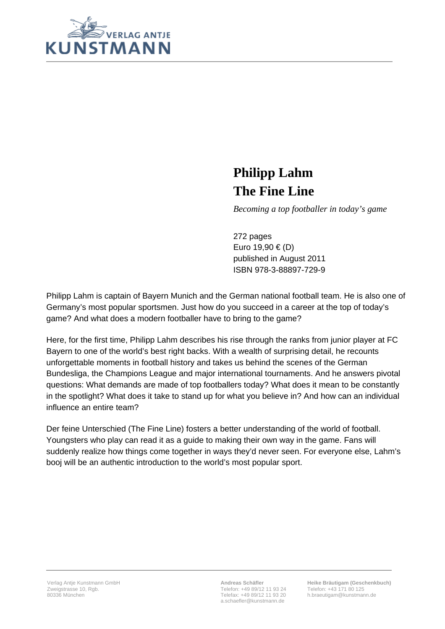

## **Philipp Lahm The Fine Line**

*Becoming a top footballer in today's game* 

272 pages Euro 19,90 € (D) published in August 2011 ISBN 978-3-88897-729-9

Philipp Lahm is captain of Bayern Munich and the German national football team. He is also one of Germany's most popular sportsmen. Just how do you succeed in a career at the top of today's game? And what does a modern footballer have to bring to the game?

Here, for the first time, Philipp Lahm describes his rise through the ranks from junior player at FC Bayern to one of the world's best right backs. With a wealth of surprising detail, he recounts unforgettable moments in football history and takes us behind the scenes of the German Bundesliga, the Champions League and major international tournaments. And he answers pivotal questions: What demands are made of top footballers today? What does it mean to be constantly in the spotlight? What does it take to stand up for what you believe in? And how can an individual influence an entire team?

Der feine Unterschied (The Fine Line) fosters a better understanding of the world of football. Youngsters who play can read it as a guide to making their own way in the game. Fans will suddenly realize how things come together in ways they'd never seen. For everyone else, Lahm's booj will be an authentic introduction to the world's most popular sport.